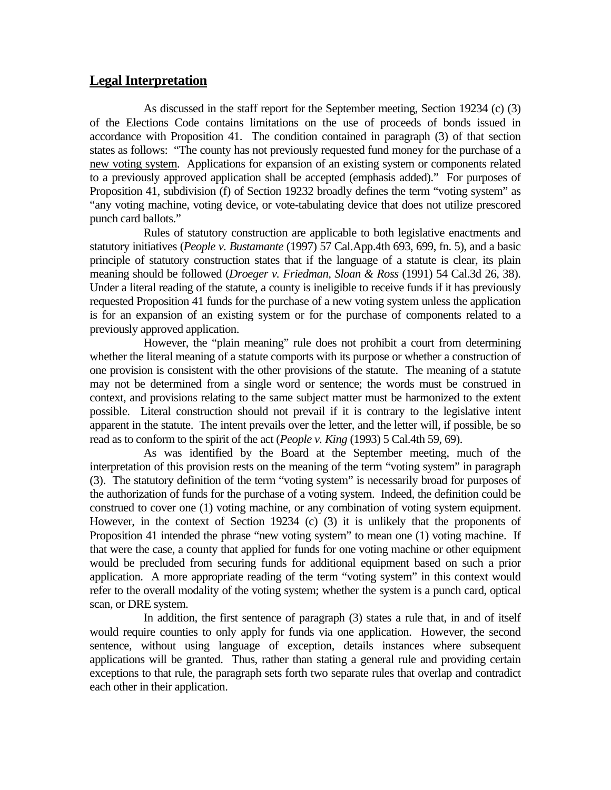## **Legal Interpretation**

 As discussed in the staff report for the September meeting, Section 19234 (c) (3) of the Elections Code contains limitations on the use of proceeds of bonds issued in accordance with Proposition 41. The condition contained in paragraph (3) of that section states as follows: "The county has not previously requested fund money for the purchase of a new voting system. Applications for expansion of an existing system or components related to a previously approved application shall be accepted (emphasis added)." For purposes of Proposition 41, subdivision (f) of Section 19232 broadly defines the term "voting system" as "any voting machine, voting device, or vote-tabulating device that does not utilize prescored punch card ballots."

 Rules of statutory construction are applicable to both legislative enactments and statutory initiatives (*People v. Bustamante* (1997) 57 Cal.App.4th 693, 699, fn. 5), and a basic principle of statutory construction states that if the language of a statute is clear, its plain meaning should be followed (*Droeger v. Friedman, Sloan & Ross* (1991) 54 Cal.3d 26, 38). Under a literal reading of the statute, a county is ineligible to receive funds if it has previously requested Proposition 41 funds for the purchase of a new voting system unless the application is for an expansion of an existing system or for the purchase of components related to a previously approved application.

 However, the "plain meaning" rule does not prohibit a court from determining whether the literal meaning of a statute comports with its purpose or whether a construction of one provision is consistent with the other provisions of the statute. The meaning of a statute may not be determined from a single word or sentence; the words must be construed in context, and provisions relating to the same subject matter must be harmonized to the extent possible. Literal construction should not prevail if it is contrary to the legislative intent apparent in the statute. The intent prevails over the letter, and the letter will, if possible, be so read as to conform to the spirit of the act (*People v. King* (1993) 5 Cal.4th 59, 69).

 As was identified by the Board at the September meeting, much of the interpretation of this provision rests on the meaning of the term "voting system" in paragraph (3). The statutory definition of the term "voting system" is necessarily broad for purposes of the authorization of funds for the purchase of a voting system. Indeed, the definition could be construed to cover one (1) voting machine, or any combination of voting system equipment. However, in the context of Section 19234 (c) (3) it is unlikely that the proponents of Proposition 41 intended the phrase "new voting system" to mean one (1) voting machine. If that were the case, a county that applied for funds for one voting machine or other equipment would be precluded from securing funds for additional equipment based on such a prior application. A more appropriate reading of the term "voting system" in this context would refer to the overall modality of the voting system; whether the system is a punch card, optical scan, or DRE system.

 In addition, the first sentence of paragraph (3) states a rule that, in and of itself would require counties to only apply for funds via one application. However, the second sentence, without using language of exception, details instances where subsequent applications will be granted. Thus, rather than stating a general rule and providing certain exceptions to that rule, the paragraph sets forth two separate rules that overlap and contradict each other in their application.